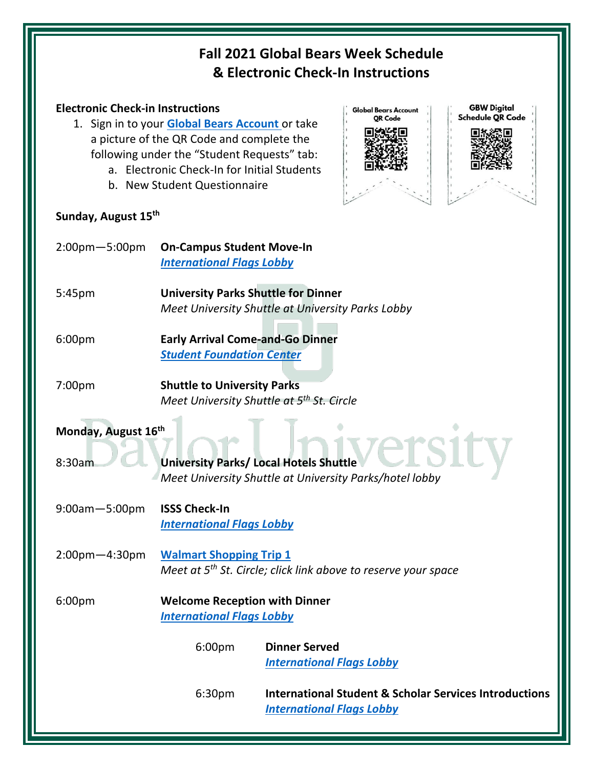## **Fall 2021 Global Bears Week Schedule & Electronic Check-In Instructions**

## **Electronic Check-in Instructions**

- 1. Sign in to your **[Global Bears Account](https://globalbears.baylor.edu/)** or take a picture of the QR Code and complete the following under the "Student Requests" tab:
	- a. Electronic Check-In for Initial Students
	- b. New Student Questionnaire

## **Sunday, August 15th**



| $2:00$ pm $-5:00$ pm | <b>On-Campus Student Move-In</b><br><b>International Flags Lobby</b>                                            |  |  |  |
|----------------------|-----------------------------------------------------------------------------------------------------------------|--|--|--|
| 5:45pm               | <b>University Parks Shuttle for Dinner</b><br>Meet University Shuttle at University Parks Lobby                 |  |  |  |
| 6:00pm               | <b>Early Arrival Come-and-Go Dinner</b><br><b>Student Foundation Center</b>                                     |  |  |  |
| 7:00pm               | <b>Shuttle to University Parks</b><br>Meet University Shuttle at 5 <sup>th</sup> St. Circle                     |  |  |  |
| Monday, August 16th  |                                                                                                                 |  |  |  |
| 8:30am               | <b>University Parks/ Local Hotels Shuttle</b><br>Meet University Shuttle at University Parks/hotel lobby        |  |  |  |
| $9:00$ am $-5:00$ pm | <b>ISSS Check-In</b><br><b>International Flags Lobby</b>                                                        |  |  |  |
| $2:00$ pm $-4:30$ pm | <b>Walmart Shopping Trip 1</b><br>Meet at 5 <sup>th</sup> St. Circle; click link above to reserve your space    |  |  |  |
| 6:00pm               | <b>Welcome Reception with Dinner</b><br><b>International Flags Lobby</b>                                        |  |  |  |
|                      | 6:00pm<br><b>Dinner Served</b><br><b>International Flags Lobby</b>                                              |  |  |  |
|                      | <b>International Student &amp; Scholar Services Introductions</b><br>6:30pm<br><b>International Flags Lobby</b> |  |  |  |
|                      |                                                                                                                 |  |  |  |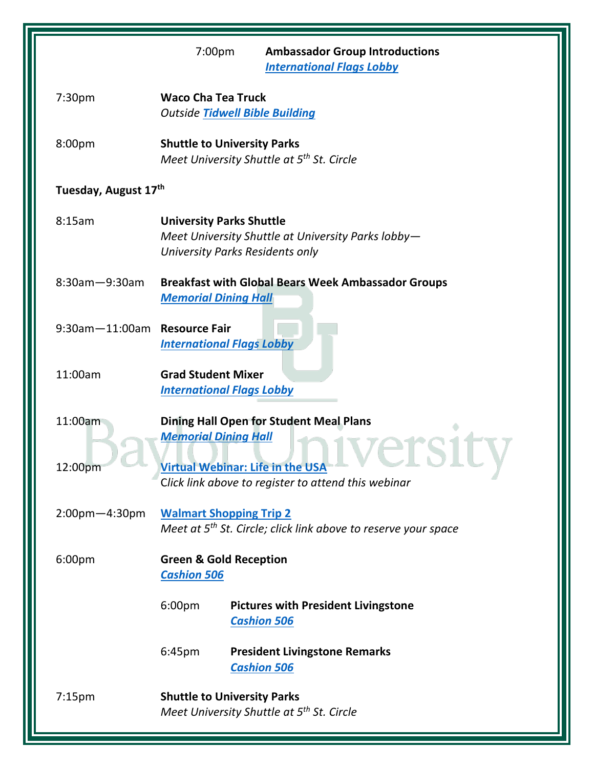|                              | 7:00pm<br><b>Ambassador Group Introductions</b><br><b>International Flags Lobby</b>                                                                                             |
|------------------------------|---------------------------------------------------------------------------------------------------------------------------------------------------------------------------------|
| 7:30pm                       | <b>Waco Cha Tea Truck</b><br><b>Outside Tidwell Bible Building</b>                                                                                                              |
| 8:00pm                       | <b>Shuttle to University Parks</b><br>Meet University Shuttle at 5 <sup>th</sup> St. Circle                                                                                     |
| Tuesday, August 17th         |                                                                                                                                                                                 |
| 8:15am                       | <b>University Parks Shuttle</b><br>Meet University Shuttle at University Parks lobby-<br>University Parks Residents only                                                        |
| $8:30$ am $-9:30$ am         | <b>Breakfast with Global Bears Week Ambassador Groups</b><br><b>Memorial Dining Hall</b>                                                                                        |
| 9:30am-11:00am Resource Fair | <b>International Flags Lobby</b>                                                                                                                                                |
| 11:00am                      | <b>Grad Student Mixer</b><br><b>International Flags Lobby</b>                                                                                                                   |
| 11:00am<br>12:00pm           | <b>Dining Hall Open for Student Meal Plans</b><br><b>Memorial Dining Hall</b><br><b>Virtual Webinar: Life in the USA</b><br>Click link above to register to attend this webinar |
| $2:00$ pm $-4:30$ pm         | <b>Walmart Shopping Trip 2</b><br>Meet at 5 <sup>th</sup> St. Circle; click link above to reserve your space                                                                    |
| 6:00pm                       | <b>Green &amp; Gold Reception</b><br><b>Cashion 506</b>                                                                                                                         |
|                              | 6:00pm<br><b>Pictures with President Livingstone</b><br><b>Cashion 506</b>                                                                                                      |
|                              | 6:45 <sub>pm</sub><br><b>President Livingstone Remarks</b><br><b>Cashion 506</b>                                                                                                |
| 7:15 <sub>pm</sub>           | <b>Shuttle to University Parks</b><br>Meet University Shuttle at 5 <sup>th</sup> St. Circle                                                                                     |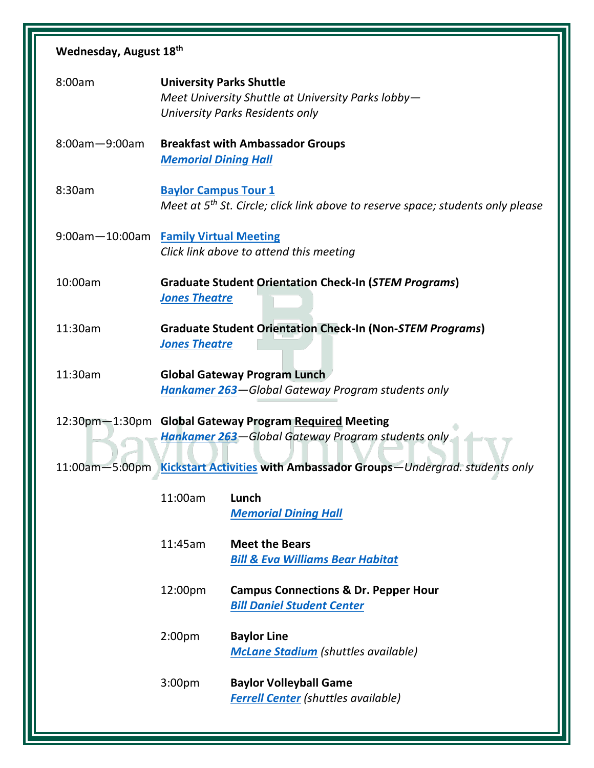| Wednesday, August 18th                                                              |                                                                                                                          |                                                                                      |  |  |  |
|-------------------------------------------------------------------------------------|--------------------------------------------------------------------------------------------------------------------------|--------------------------------------------------------------------------------------|--|--|--|
| 8:00am                                                                              | <b>University Parks Shuttle</b><br>Meet University Shuttle at University Parks lobby-<br>University Parks Residents only |                                                                                      |  |  |  |
| $8:00$ am $-9:00$ am                                                                | <b>Breakfast with Ambassador Groups</b><br><b>Memorial Dining Hall</b>                                                   |                                                                                      |  |  |  |
| 8:30am                                                                              | <b>Baylor Campus Tour 1</b><br>Meet at $5th$ St. Circle; click link above to reserve space; students only please         |                                                                                      |  |  |  |
|                                                                                     | 9:00am-10:00am Family Virtual Meeting<br>Click link above to attend this meeting                                         |                                                                                      |  |  |  |
| 10:00am                                                                             | <b>Graduate Student Orientation Check-In (STEM Programs)</b><br><b>Jones Theatre</b>                                     |                                                                                      |  |  |  |
| 11:30am                                                                             | <b>Graduate Student Orientation Check-In (Non-STEM Programs)</b><br><b>Jones Theatre</b>                                 |                                                                                      |  |  |  |
| 11:30am                                                                             | <b>Global Gateway Program Lunch</b><br>Hankamer 263-Global Gateway Program students only                                 |                                                                                      |  |  |  |
|                                                                                     | 12:30pm-1:30pm Global Gateway Program Required Meeting<br>Hankamer 263-Global Gateway Program students only              |                                                                                      |  |  |  |
| 11:00am-5:00pm Kickstart Activities with Ambassador Groups-Undergrad. students only |                                                                                                                          |                                                                                      |  |  |  |
|                                                                                     | 11:00am                                                                                                                  | Lunch<br><b>Memorial Dining Hall</b>                                                 |  |  |  |
|                                                                                     | 11:45am                                                                                                                  | <b>Meet the Bears</b><br><b>Bill &amp; Eva Williams Bear Habitat</b>                 |  |  |  |
|                                                                                     | 12:00pm                                                                                                                  | <b>Campus Connections &amp; Dr. Pepper Hour</b><br><b>Bill Daniel Student Center</b> |  |  |  |
|                                                                                     | 2:00 <sub>pm</sub>                                                                                                       | <b>Baylor Line</b><br><b>McLane Stadium</b> (shuttles available)                     |  |  |  |
|                                                                                     | 3:00 <sub>pm</sub>                                                                                                       | <b>Baylor Volleyball Game</b><br><b>Ferrell Center (shuttles available)</b>          |  |  |  |